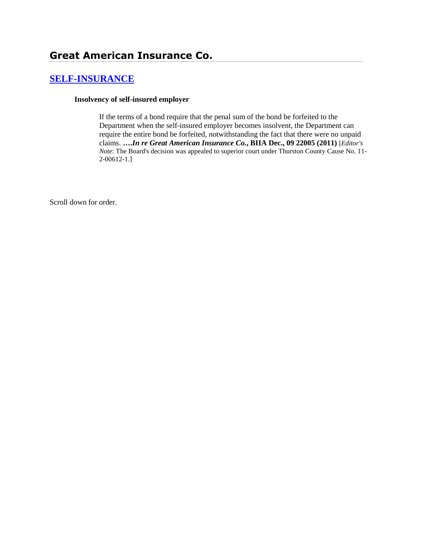# **[SELF-INSURANCE](http://www.biia.wa.gov/SDSubjectIndex.html#SELF_INSURANCE)**

#### **Insolvency of self-insured employer**

If the terms of a bond require that the penal sum of the bond be forfeited to the Department when the self-insured employer becomes insolvent, the Department can require the entire bond be forfeited, notwithstanding the fact that there were no unpaid claims. **….***In re Great American Insurance Co.***, BIIA Dec., 09 22005 (2011)** [*Editor's Note*: The Board's decision was appealed to superior court under Thurston County Cause No. 11- 2-00612-1.]

Scroll down for order.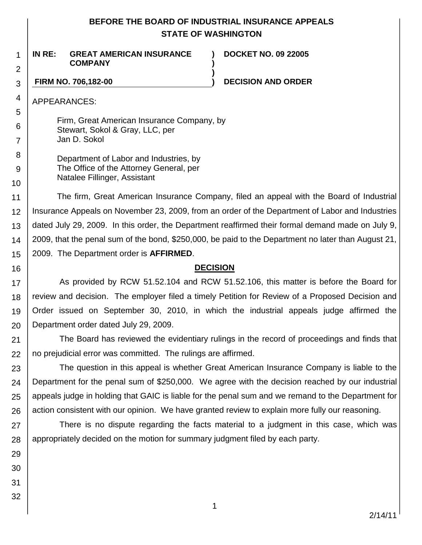## **BEFORE THE BOARD OF INDUSTRIAL INSURANCE APPEALS STATE OF WASHINGTON**

**) )**

**)**

1 2 **IN RE: GREAT AMERICAN INSURANCE COMPANY**

**DOCKET NO. 09 22005**

### **FIRM NO. 706,182-00 ) DECISION AND ORDER**

APPEARANCES:

3

4

5 6

7

8 9

10

16

29

30

31

32

Firm, Great American Insurance Company, by Stewart, Sokol & Gray, LLC, per Jan D. Sokol

Department of Labor and Industries, by The Office of the Attorney General, per Natalee Fillinger, Assistant

11 12 13 14 15 The firm, Great American Insurance Company, filed an appeal with the Board of Industrial Insurance Appeals on November 23, 2009, from an order of the Department of Labor and Industries dated July 29, 2009. In this order, the Department reaffirmed their formal demand made on July 9, 2009, that the penal sum of the bond, \$250,000, be paid to the Department no later than August 21, 2009. The Department order is **AFFIRMED**.

## **DECISION**

17 18 19 20 As provided by RCW 51.52.104 and RCW 51.52.106, this matter is before the Board for review and decision. The employer filed a timely Petition for Review of a Proposed Decision and Order issued on September 30, 2010, in which the industrial appeals judge affirmed the Department order dated July 29, 2009.

21 22 The Board has reviewed the evidentiary rulings in the record of proceedings and finds that no prejudicial error was committed. The rulings are affirmed.

23 24 25 26 The question in this appeal is whether Great American Insurance Company is liable to the Department for the penal sum of \$250,000. We agree with the decision reached by our industrial appeals judge in holding that GAIC is liable for the penal sum and we remand to the Department for action consistent with our opinion. We have granted review to explain more fully our reasoning.

27 28 There is no dispute regarding the facts material to a judgment in this case, which was appropriately decided on the motion for summary judgment filed by each party.

1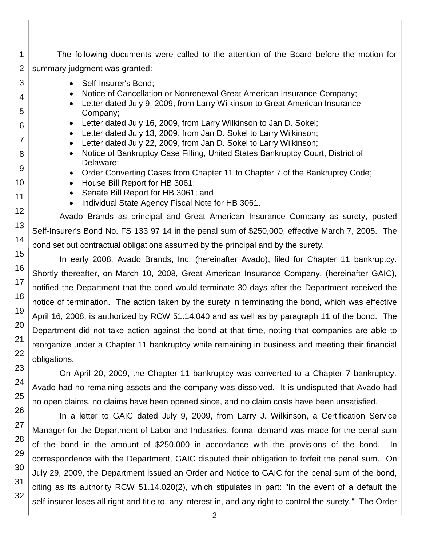- 1 The following documents were called to the attention of the Board before the motion for summary judgment was granted:
	- Self-Insurer's Bond;
	- Notice of Cancellation or Nonrenewal Great American Insurance Company;
	- Letter dated July 9, 2009, from Larry Wilkinson to Great American Insurance Company;
	- Letter dated July 16, 2009, from Larry Wilkinson to Jan D. Sokel;
	- Letter dated July 13, 2009, from Jan D. Sokel to Larry Wilkinson;
	- Letter dated July 22, 2009, from Jan D. Sokel to Larry Wilkinson;
	- Notice of Bankruptcy Case Filling, United States Bankruptcy Court, District of Delaware;
	- Order Converting Cases from Chapter 11 to Chapter 7 of the Bankruptcy Code;
	- House Bill Report for HB 3061;
	- Senate Bill Report for HB 3061; and
	- Individual State Agency Fiscal Note for HB 3061.

Avado Brands as principal and Great American Insurance Company as surety, posted Self-Insurer's Bond No. FS 133 97 14 in the penal sum of \$250,000, effective March 7, 2005. The bond set out contractual obligations assumed by the principal and by the surety.

In early 2008, Avado Brands, Inc. (hereinafter Avado), filed for Chapter 11 bankruptcy. Shortly thereafter, on March 10, 2008, Great American Insurance Company, (hereinafter GAIC), notified the Department that the bond would terminate 30 days after the Department received the notice of termination. The action taken by the surety in terminating the bond, which was effective April 16, 2008, is authorized by RCW 51.14.040 and as well as by paragraph 11 of the bond. The Department did not take action against the bond at that time, noting that companies are able to reorganize under a Chapter 11 bankruptcy while remaining in business and meeting their financial obligations.

On April 20, 2009, the Chapter 11 bankruptcy was converted to a Chapter 7 bankruptcy. Avado had no remaining assets and the company was dissolved. It is undisputed that Avado had no open claims, no claims have been opened since, and no claim costs have been unsatisfied.

In a letter to GAIC dated July 9, 2009, from Larry J. Wilkinson, a Certification Service Manager for the Department of Labor and Industries, formal demand was made for the penal sum of the bond in the amount of \$250,000 in accordance with the provisions of the bond. In correspondence with the Department, GAIC disputed their obligation to forfeit the penal sum. On July 29, 2009, the Department issued an Order and Notice to GAIC for the penal sum of the bond, citing as its authority RCW 51.14.020(2), which stipulates in part: "In the event of a default the self-insurer loses all right and title to, any interest in, and any right to control the surety." The Order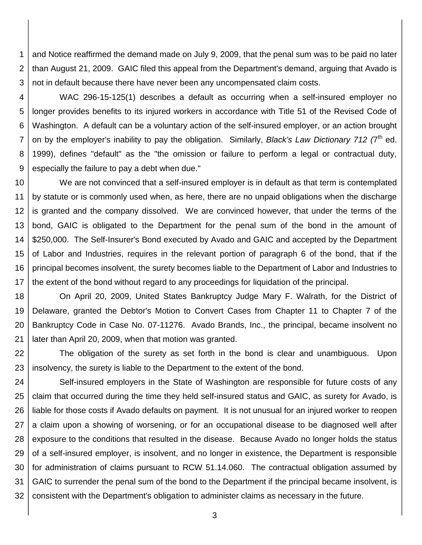1 2 3 and Notice reaffirmed the demand made on July 9, 2009, that the penal sum was to be paid no later than August 21, 2009. GAIC filed this appeal from the Department's demand, arguing that Avado is not in default because there have never been any uncompensated claim costs.

4 5

6 7 8 9 WAC 296-15-125(1) describes a default as occurring when a self-insured employer no longer provides benefits to its injured workers in accordance with Title 51 of the Revised Code of Washington. A default can be a voluntary action of the self-insured employer, or an action brought on by the employer's inability to pay the obligation. Similarly, *Black's Law Dictionary 712 (*7 th ed. 1999), defines "default" as the "the omission or failure to perform a legal or contractual duty, especially the failure to pay a debt when due."

10 11 12 13 14 15 16 17 We are not convinced that a self-insured employer is in default as that term is contemplated by statute or is commonly used when, as here, there are no unpaid obligations when the discharge is granted and the company dissolved. We are convinced however, that under the terms of the bond, GAIC is obligated to the Department for the penal sum of the bond in the amount of \$250,000. The Self-Insurer's Bond executed by Avado and GAIC and accepted by the Department of Labor and Industries, requires in the relevant portion of paragraph 6 of the bond, that if the principal becomes insolvent, the surety becomes liable to the Department of Labor and Industries to the extent of the bond without regard to any proceedings for liquidation of the principal.

18 19 20 21 On April 20, 2009, United States Bankruptcy Judge Mary F. Walrath, for the District of Delaware, granted the Debtor's Motion to Convert Cases from Chapter 11 to Chapter 7 of the Bankruptcy Code in Case No. 07-11276. Avado Brands, Inc., the principal, became insolvent no later than April 20, 2009, when that motion was granted.

22 23 The obligation of the surety as set forth in the bond is clear and unambiguous. Upon insolvency, the surety is liable to the Department to the extent of the bond.

24 25 26 27 28 29 30 31 32 Self-insured employers in the State of Washington are responsible for future costs of any claim that occurred during the time they held self-insured status and GAIC, as surety for Avado, is liable for those costs if Avado defaults on payment. It is not unusual for an injured worker to reopen a claim upon a showing of worsening, or for an occupational disease to be diagnosed well after exposure to the conditions that resulted in the disease. Because Avado no longer holds the status of a self-insured employer, is insolvent, and no longer in existence, the Department is responsible for administration of claims pursuant to RCW 51.14.060. The contractual obligation assumed by GAIC to surrender the penal sum of the bond to the Department if the principal became insolvent, is consistent with the Department's obligation to administer claims as necessary in the future.

3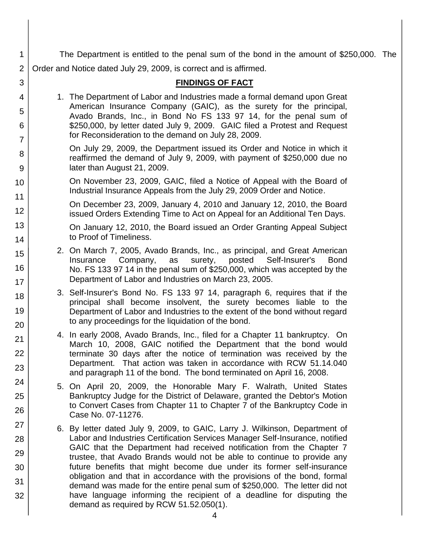The Department is entitled to the penal sum of the bond in the amount of \$250,000. The Order and Notice dated July 29, 2009, is correct and is affirmed.

## **FINDINGS OF FACT**

1. The Department of Labor and Industries made a formal demand upon Great American Insurance Company (GAIC), as the surety for the principal, Avado Brands, Inc., in Bond No FS 133 97 14, for the penal sum of \$250,000, by letter dated July 9, 2009. GAIC filed a Protest and Request for Reconsideration to the demand on July 28, 2009.

1

2

3

4

5

6

7

8

9

10

11

12

13

14

15

16

17 18

19

20

21

22

23

24

25

26

27

28

29

30

31 32

- On July 29, 2009, the Department issued its Order and Notice in which it reaffirmed the demand of July 9, 2009, with payment of \$250,000 due no later than August 21, 2009.
- On November 23, 2009, GAIC, filed a Notice of Appeal with the Board of Industrial Insurance Appeals from the July 29, 2009 Order and Notice.
	- On December 23, 2009, January 4, 2010 and January 12, 2010, the Board issued Orders Extending Time to Act on Appeal for an Additional Ten Days.
	- On January 12, 2010, the Board issued an Order Granting Appeal Subject to Proof of Timeliness.
- 2. On March 7, 2005, Avado Brands, Inc., as principal, and Great American Insurance Company, as surety, posted Self-Insurer's Bond No. FS 133 97 14 in the penal sum of \$250,000, which was accepted by the Department of Labor and Industries on March 23, 2005.
- 3. Self-Insurer's Bond No. FS 133 97 14, paragraph 6, requires that if the principal shall become insolvent, the surety becomes liable to the Department of Labor and Industries to the extent of the bond without regard to any proceedings for the liquidation of the bond.
- 4. In early 2008, Avado Brands, Inc., filed for a Chapter 11 bankruptcy. On March 10, 2008, GAIC notified the Department that the bond would terminate 30 days after the notice of termination was received by the Department. That action was taken in accordance with RCW 51.14.040 and paragraph 11 of the bond. The bond terminated on April 16, 2008.
- 5. On April 20, 2009, the Honorable Mary F. Walrath, United States Bankruptcy Judge for the District of Delaware, granted the Debtor's Motion to Convert Cases from Chapter 11 to Chapter 7 of the Bankruptcy Code in Case No. 07-11276.
- 6. By letter dated July 9, 2009, to GAIC, Larry J. Wilkinson, Department of Labor and Industries Certification Services Manager Self-Insurance, notified GAIC that the Department had received notification from the Chapter 7 trustee, that Avado Brands would not be able to continue to provide any future benefits that might become due under its former self-insurance obligation and that in accordance with the provisions of the bond, formal demand was made for the entire penal sum of \$250,000. The letter did not have language informing the recipient of a deadline for disputing the demand as required by RCW 51.52.050(1).